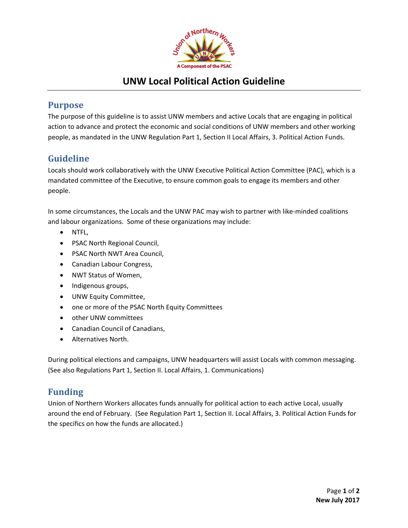

## **UNW Local Political Action Guideline**

### **Purpose**

The purpose of this guideline is to assist UNW members and active Locals that are engaging in political action to advance and protect the economic and social conditions of UNW members and other working people, as mandated in the UNW Regulation Part 1, Section II Local Affairs, 3. Political Action Funds.

## **Guideline**

Locals should work collaboratively with the UNW Executive Political Action Committee (PAC), which is a mandated committee of the Executive, to ensure common goals to engage its members and other people.

In some circumstances, the Locals and the UNW PAC may wish to partner with like-minded coalitions and labour organizations. Some of these organizations may include:

- NTFL,
- PSAC North Regional Council,
- PSAC North NWT Area Council,
- Canadian Labour Congress,
- NWT Status of Women,
- Indigenous groups,
- UNW Equity Committee,
- one or more of the PSAC North Equity Committees
- other UNW committees
- Canadian Council of Canadians,
- Alternatives North.

During political elections and campaigns, UNW headquarters will assist Locals with common messaging. (See also Regulations Part 1, Section II. Local Affairs, 1. Communications)

### **Funding**

Union of Northern Workers allocates funds annually for political action to each active Local, usually around the end of February. (See Regulation Part 1, Section II. Local Affairs, 3. Political Action Funds for the specifics on how the funds are allocated.)